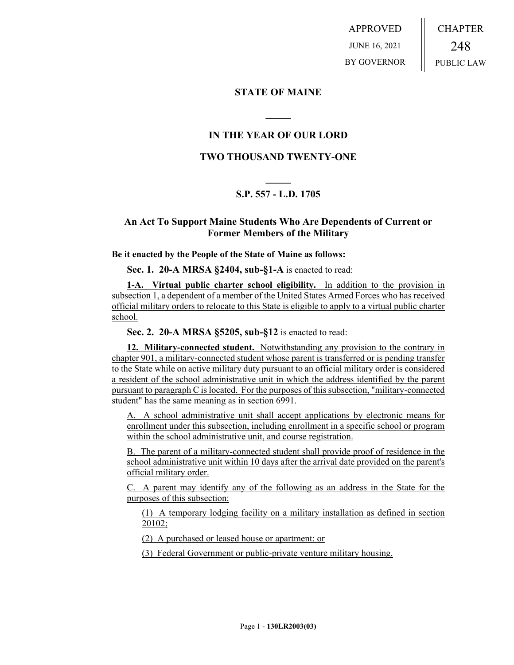APPROVED JUNE 16, 2021 BY GOVERNOR CHAPTER 248 PUBLIC LAW

## **STATE OF MAINE**

## **IN THE YEAR OF OUR LORD**

**\_\_\_\_\_**

## **TWO THOUSAND TWENTY-ONE**

# **\_\_\_\_\_ S.P. 557 - L.D. 1705**

## **An Act To Support Maine Students Who Are Dependents of Current or Former Members of the Military**

#### **Be it enacted by the People of the State of Maine as follows:**

**Sec. 1. 20-A MRSA §2404, sub-§1-A** is enacted to read:

**1-A. Virtual public charter school eligibility.** In addition to the provision in subsection 1, a dependent of a member of the United States Armed Forces who has received official military orders to relocate to this State is eligible to apply to a virtual public charter school.

**Sec. 2. 20-A MRSA §5205, sub-§12** is enacted to read:

**12. Military-connected student.** Notwithstanding any provision to the contrary in chapter 901, a military-connected student whose parent is transferred or is pending transfer to the State while on active military duty pursuant to an official military order is considered a resident of the school administrative unit in which the address identified by the parent pursuant to paragraph C is located. For the purposes of this subsection, "military-connected student" has the same meaning as in section 6991.

A. A school administrative unit shall accept applications by electronic means for enrollment under this subsection, including enrollment in a specific school or program within the school administrative unit, and course registration.

B. The parent of a military-connected student shall provide proof of residence in the school administrative unit within 10 days after the arrival date provided on the parent's official military order.

C. A parent may identify any of the following as an address in the State for the purposes of this subsection:

(1) A temporary lodging facility on a military installation as defined in section 20102;

(2) A purchased or leased house or apartment; or

(3) Federal Government or public-private venture military housing.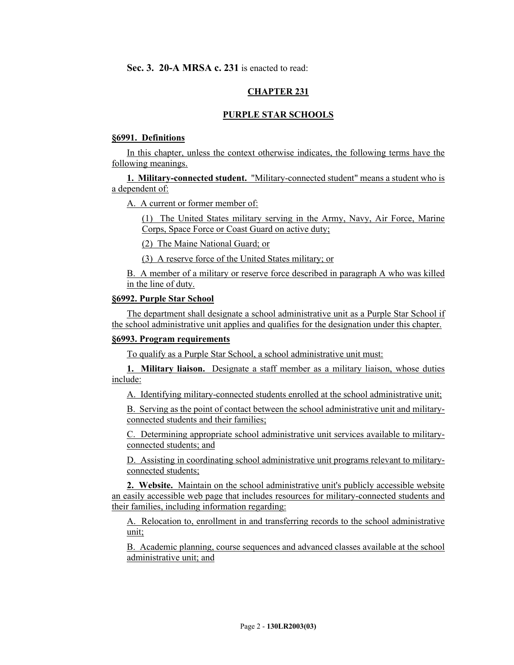## **CHAPTER 231**

## **PURPLE STAR SCHOOLS**

#### **§6991. Definitions**

In this chapter, unless the context otherwise indicates, the following terms have the following meanings.

**1. Military-connected student.** "Military-connected student" means a student who is a dependent of:

A. A current or former member of:

(1) The United States military serving in the Army, Navy, Air Force, Marine Corps, Space Force or Coast Guard on active duty;

(2) The Maine National Guard; or

(3) A reserve force of the United States military; or

B. A member of a military or reserve force described in paragraph A who was killed in the line of duty.

#### **§6992. Purple Star School**

The department shall designate a school administrative unit as a Purple Star School if the school administrative unit applies and qualifies for the designation under this chapter.

## **§6993. Program requirements**

To qualify as a Purple Star School, a school administrative unit must:

**1. Military liaison.** Designate a staff member as a military liaison, whose duties include:

A. Identifying military-connected students enrolled at the school administrative unit;

B. Serving as the point of contact between the school administrative unit and militaryconnected students and their families;

C. Determining appropriate school administrative unit services available to militaryconnected students; and

D. Assisting in coordinating school administrative unit programs relevant to militaryconnected students;

**2. Website.** Maintain on the school administrative unit's publicly accessible website an easily accessible web page that includes resources for military-connected students and their families, including information regarding:

A. Relocation to, enrollment in and transferring records to the school administrative unit;

B. Academic planning, course sequences and advanced classes available at the school administrative unit; and